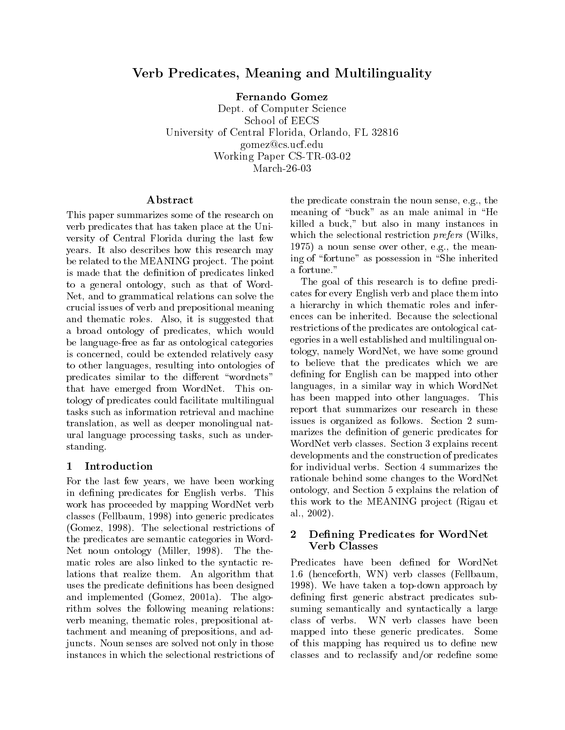## Verb Predicates, Meaning and Multilinguality

Fernando Gomez

Dept. of Computer Science School of EECSUniversity of Central Florida, Orlando, FL <sup>32816</sup> gomez@cs.ucf.eduWorking Faper C<sub>2</sub>-TR-03-02 March-26-03

This paper summarizes some of the research on verb predicates that has taken place at the University of Central Florida during the last few years. It also describes how this research may be related to the MEANING project. The point is made that the definition of predicates linked to a general ontology, such as that of Word-Net, and to grammatical relations can solve the crucial issues of verb and prepositional meaning and thematic roles. Also, it is suggested that a broad ontology of predicates, which would be language-free as far as ontological categories is concerned, could be extended relatively easy to other languages, resulting into ontologies of predicates similar to the different "wordnets" that have emerged from WordNet. This ontology of predicates could facilitate multilingual tasks such as information retrieval and machine translation, as well as deeper monolingual natural language processing tasks, such as understanding.

## 1 Introduction

For the last few years, we have been working in defining predicates for English verbs. This work has proceeded by mapping WordNet verb classes (Fellbaum, 1998) into generic predicates (Gomez, 1998). The selectional restrictions of  $\overline{X}$ the predicates are semantic categories in Word-Net noun ontology (Miller, 1998). The thematic roles are also linked to the syntactic relations that realize them. An algorithm that uses the predicate definitions has been designed and implemented (Gomez, 2001a). The algorithm solves the following meaning relations: verb meaning, thematic roles, prepositional attachment and meaning of prepositions, and adjuncts. Noun senses are solved not only in those instances in which the selectional restrictions of

the predicate constrain the noun sense, e.g., the meaning of "buck" as an male animal in "He killed a buck," but also in many instances in which the selectional restriction *prefers* (Wilks, 1975) a noun sense over other, e.g., the meaning of "fortune" as possession in "She inherited a fortune."

The goal of this research is to define predicates for every English verb and place them into a hierarchy in which thematic roles and inferences can be inherited. Because the selectional restrictions of the predicates are ontological categories in a well established and multilingual ontology, namely WordNet, we have some ground to believe that the predicates which we are defining for English can be mapped into other languages, in a similar way in which WordNet has been mapped into other languages. This report that summarizes our research in these issues is organized as follows. Section 2 summarizes the definition of generic predicates for WordNet verb classes. Section 3 explains recent developments and the construction of predicates for individual verbs. Section 4 summarizes the rationale behind some changes to the WordNet ontology, and Section 5 explains the relation of this work to the MEANING project (Rigau et al., 2002).

## Defining Predicates for WordNet Verb Classes

Predicates have been defined for WordNet 1.6 (henceforth, WN) verb classes (Fellbaum, 1998). We have taken a top-down approach by defining first generic abstract predicates subsuming semantically and syntactically a large class of verbs. WN verb classes have been mapped into these generic predicates. Some of this mapping has required us to define new classes and to reclassify and/or redene some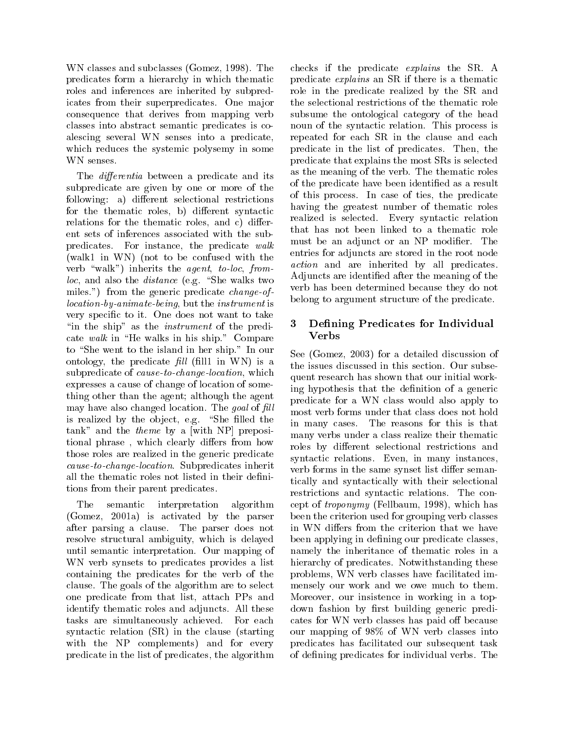WN classes and subclasses (Gomez, 1998). The predicates form a hierarchy in which thematic roles and inferences are inherited by subpredicates from their superpredicates. One major consequence that derives from mapping verb classes into abstract semantic predicates is coalescing several WN senses into a predicate, which reduces the systemic polysemy in some WN senses.

The *differentia* between a predicate and its subpredicate are given by one or more of the following: a) different selectional restrictions for the thematic roles, b) different syntactic relations for the thematic roles, and c) different sets of inferences associated with the subpredicates. For instance, the predicate walk (walk1 in WN) (not to be confused with the verb "walk") inherits the agent, to-loc, from $loc,$  and also the *distance* (e.g. "She walks two miles.") from the generic predicate *change-of*location-by-animate-being, but the instrument is very specific to it. One does not want to take "in the ship" as the *instrument* of the predicate walk in "He walks in his ship." Compare to "She went to the island in her ship." In our ontology, the predicate  $\text{fill}$  (fill1 in WN) is a subpredicate of cause-to-change-location, which expresses a cause of change of location of something other than the agent; although the agent may have also changed location. The goal of  $fill$ is realized by the object, e.g. "She filled the  $tank$ " and the *theme* by a [with NP] prepositional phrase, which clearly differs from how those roles are realized in the generic predicate cause-to-change-location. Subpredicates inherit all the thematic roles not listed in their definitions from their parent predicates.

The semantic interpretation algorithm (Gomez, 2001a) is activated by the parser after parsing a clause. The parser does not resolve structural ambiguity, which is delayed until semantic interpretation. Our mapping of WN verb synsets to predicates provides a list containing the predicates for the verb of the clause. The goals of the algorithm are to select one predicate from that list, attach PPs and identify thematic roles and adjuncts. All these tasks are simultaneously achieved. For each syntactic relation (SR) in the clause (starting with the NP complements) and for every predicate in the list of predicates, the algorithm checks if the predicate explains the SR. A predicate explains an SR if there is a thematic role in the predicate realized by the SR and the selectional restrictions of the thematic role subsume the ontological category of the head noun of the syntactic relation. This process is repeated for each SR in the clause and each predicate in the list of predicates. Then, the predicate that explains the most SRs is selected as the meaning of the verb. The thematic roles of the predicate have been identied as a result of this process. In case of ties, the predicate having the greatest number of thematic roles realized isselected. Every syntactic relation that has not been linked to a thematic role must be an adjunct or an NP modifier. The entries for adjuncts are stored in the root node *action* and are inherited by all predicates. Adjuncts are identied after the meaning of the verb has been determined because they do not belong to argument structure of the predicate.

# 3 Defining Predicates for Individual

See (Gomez, 2003) for a detailed discussion of the issues discussed in this section. Our subsequent research has shown that our initial working hypothesis that the denition of a generic predicate for a WN class would also apply to most verb forms under that class does not hold in many cases. The reasons for this is that many verbs under a class realize their thematic roles by different selectional restrictions and syntactic relations. Even, in many instances, verb forms in the same synset list differ semantically and syntactically with their selectional restrictions and syntactic relations. The concept of troponymy (Fellbaum, 1998), which has been the criterion used for grouping verb classes in WN differs from the criterion that we have been applying in defining our predicate classes. namely the inheritance of thematic roles in a hierarchy of predicates. Notwithstanding these problems, WN verb classes have facilitated immensely our work and we owe much to them. Moreover, our insistence in working in a topdown fashion by first building generic predicates for WN verb classes has paid off because our mapping of 98% of WN verb classes into predicates has facilitated our subsequent task of defining predicates for individual verbs. The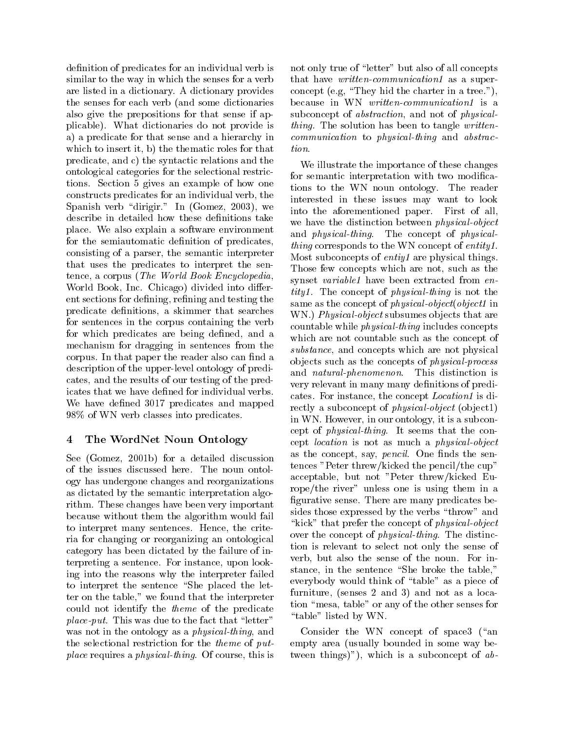definition of predicates for an individual verb is similar to the way in which the senses for a verb are listed in a dictionary. A dictionary provides the senses for each verb (and some dictionaries also give the prepositions for that sense if applicable). What dictionaries do not provide is a) a predicate for that sense and a hierarchy in which to insert it, b) the thematic roles for that  $\quad$  tion. predicate, and c) the syntactic relations and the ontological categories for the selectional restrictions. Section 5 gives an example of how one constructs predicates for an individual verb, the Spanish verb "dirigir." In (Gomez, 2003), we describe in detailed how these definitions take place. We also explain a software environment for the semiautomatic definition of predicates, consisting of a parser, the semantic interpreter that uses the predicates to interpret the sentence, a corpus (The World Book Encyclopedia, World Book, Inc. Chicago) divided into different sections for defining, refining and testing the predicate denitions, a skimmer that searches for sentences in the corpus containing the verb for which predicates are being defined, and a mechanism for dragging in sentences from the corpus. In that paper the reader also can find a description of the upper-level ontology of predicates, and the results of our testing of the predicates that we have defined for individual verbs. We have defined 3017 predicates and mapped 98% of WN verb classes into predicates.

### $\overline{4}$ 4 The WordNet Noun Ontology

See (Gomez, 2001b) for a detailed discussion of the issues discussed here. The noun ontology has undergone changes and reorganizations as dictated by the semantic interpretation algorithm. These changes have been very important because without them the algorithm would fail to interpret many sentences. Hence, the criteria for changing or reorganizing an ontological category has been dictated by the failure of interpreting a sentence. For instance, upon looking into the reasons why the interpreter failed to interpret the sentence "She placed the letter on the table," we found that the interpreter could not identify the theme of the predicate *place-put.* This was due to the fact that "letter" was not in the ontology as a *physical-thing*, and the selectional restriction for the theme of putplace requires a physical-thing. Of course, this is

not only true of "letter" but also of all concepts that have *written-communication1* as a superconcept (e.g, "They hid the charter in a tree."), because in WN written-communication1 is a subconcept of abstraction, and not of physicalthing. The solution has been to tangle writtencommunication to physical-thing and abstrac-

We illustrate the importance of these changes for semantic interpretation with two modifications to the WN noun ontology. The reader interested in these issues may want to look into the aforementioned paper. First of all, we have the distinction between physical-object and physical-thing. The concept of physicalthing corresponds to the WN concept of entity1. Most subconcepts of entiy1 are physical things. Those few concepts which are not, such as the synset *variable1* have been extracted from entity1. The concept of physical-thing is not the same as the concept of *physical-object*(*object1* in WN.) Physical-object subsumes objects that are countable while physical-thing includes concepts which are not countable such as the concept of substance, and concepts which are not physical ob jects such as the concepts of physical-process and natural-phenomenon. This distinction is very relevant in many many definitions of predicates. For instance, the concept Location1 is directly a subconcept of *physical-object* (object1) in WN. However, in our ontology, it is a subconcept of physical-thing. It seems that the concept *location* is not as much a *physical-object* as the concept, say, *pencil*. One finds the sentences "Peter threw/kicked the pencil/the cup" acceptable, but not "Peter threw/kicked Europe/the river" unless one is using them in a figurative sense. There are many predicates besides those expressed by the verbs "throw" and "kick" that prefer the concept of *physical-object* over the concept of physical-thing. The distinction is relevant to select not only the sense of verb, but also the sense of the noun. For instance, in the sentence "She broke the table," everybody would think of \table" as a piece of furniture, (senses  $2$  and  $3$ ) and not as a location \mesa, table" or any of the other senses for "table" listed by WN.

Consider the WN concept of space3 ("an empty area (usually bounded in some way between things)"), which is a subconcept of  $ab$ -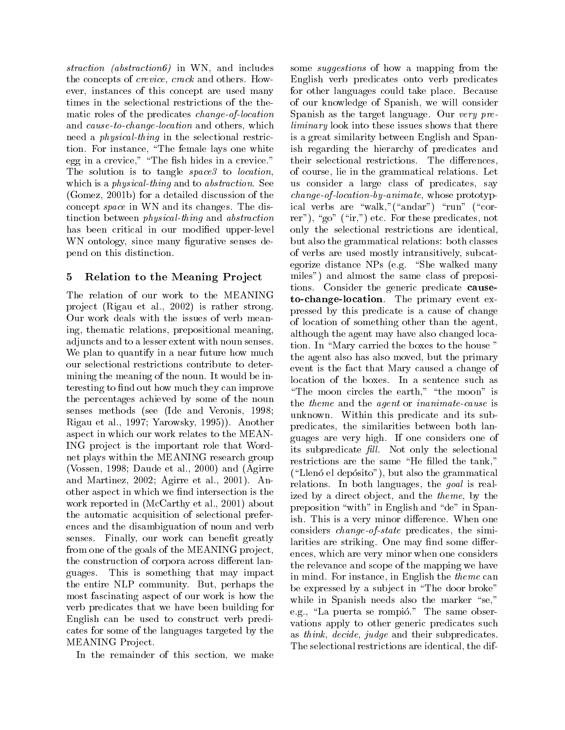straction (abstraction6) in WN, and includes the concepts of crevice, crack and others. However, instances of this concept are used many times in the selectional restrictions of the thematic roles of the predicates change-of-location and cause-to-change-location and others, which need a physical-thing in the selectional restric- $\ldots$  . For instance, the female instance which is the white white egg in a crewice, we can create in a crewice in a crewice single state in a crewice. The sh hides in a crewice  $\Gamma$ The solution is to tangle space3 to location, which is a *physical-thing* and to *abstraction*. See (Gomez, 2001b) for a detailed discussion of the concept space in WN and its changes. The distinction between physical-thing and abstraction has been critical in our modified upper-level WN ontology, since many figurative senses depend on this distinction.

## 5 Relation to the Meaning Project

The relation of our work to the MEANING project (Rigau et al., 2002) is rather strong. Our work deals with the issues of verb meaning, thematic relations, prepositional meaning, adjuncts and to a lesser extent with noun senses. We plan to quantify in a near future how much our selectional restrictions contribute to determining the meaning of the noun. It would be interesting to find out how much they can improve the percentages achieved by some of the noun senses methods (see (Ide and Veronis, 1998; Rigau et al., 1997; Yarowsky, 1995)). Another aspect in which our work relates to the MEAN-ING project is the important role that Wordnet plays within the MEANING research group (Vossen, 1998; Daude et al., 2000) and (Agirre and Martinez, 2002; Agirre et al., 2001). Another aspect in which we find intersection is the work reported in (McCarthy et al., 2001) about the automatic acquisition of selectional preferences and the disambiguation of noun and verb senses. Finally, our work can benefit greatly from one of the goals of the MEANING project, the construction of corpora across different languages. This is something that may impact the entire NLP community. But, perhaps the most fascinating aspect of our work is how the verb predicates that we have been building for English can be used to construct verb predicates for some of the languages targeted by the MEANING Project.

In the remainder of this section, we make

some *suggestions* of how a mapping from the English verb predicates onto verb predicates for other languages could take place. Because of our knowledge of Spanish, we will consider Spanish as the target language. Our very preliminary look into these issues shows that there is a great similarity between English and Spanish regarding the hierarchy of predicates and their selectional restrictions. The differences. of course, lie in the grammatical relations. Let us consider a large class of predicates, say change-of-location-by-animate, whose prototypical verbs are "walk,"("andar") "run" ("correr"), "go" ("ir,") etc. For these predicates, not only the selectional restrictions are identical, but also the grammatical relations: both classes of verbs are used mostly intransitively, subcategorize distance NPs (e.g. "She walked many miles") and almost the same class of prepositions. Consider the generic predicate causeto-change-location. The primary event expressed by this predicate is a cause of change of location of something other than the agent, although the agent may have also changed location. In "Mary carried the boxes to the house" the agent also has also moved, but the primary event is the fact that Mary caused a change of location of the boxes. In a sentence such as "The moon circles the earth," "the moon" is the theme and the agent or inanimate-cause is unknown. Within this predicate and its subpredicates, the similarities between both languages are very high. If one considers one of its subpredicate  $\text{fill}$ . Not only the selectional restrictions are the same "He filled the tank,"  $(\text{``Llenó el depósito''}),$  but also the grammatical relations. In both languages, the goal is realized by a direct object, and the *theme*, by the preposition "with" in English and "de" in Spanish. This is a very minor difference. When one considers change-of-state predicates, the similarities are striking. One may find some differences, which are very minor when one considers the relevance and scope of the mapping we have in mind. For instance, in English the theme can be expressed by a subject in "The door broke" while in Spanish needs also the marker "se," e.g., "La puerta se rompió." The same observations apply to other generic predicates such as think, decide, judge and their subpredicates. The selectional restrictions are identical, the dif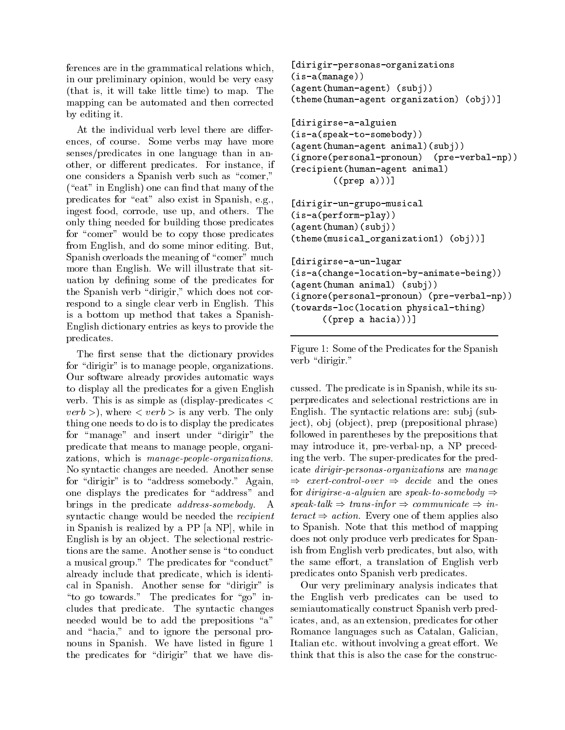ferences are in the grammatical relations which, in our preliminary opinion, would be very easy (that is, it will take little time) to map. The mapping can be automated and then corrected by editing it.

At the individual verb level there are differences, of course. Some verbs may have more senses/predicates in one language than in another, or different predicates. For instance, if one considers a Spanish verb such as "comer,"  $(*cat"$  in English) one can find that many of the predicates for "eat" also exist in Spanish, e.g., ingest food, corrode, use up, and others. The only thing needed for building those predicates for "comer" would be to copy those predicates from English, and do some minor editing. But, Spanish overloads the meaning of "comer" much more than English. We will illustrate that situation by defining some of the predicates for the Spanish verb "dirigir," which does not correspond to a single clear verb in English. This is a bottom up method that takes a Spanish-English dictionary entries as keys to provide the predicates. predicates and the control of the control of the control of the control of the control of the control of the control of the control of the control of the control of the control of the control of the control of the control

The first sense that the dictionary provides for "dirigir" is to manage people, organizations. Our software already provides automatic ways to display all the predicates for a given English verb. This is as simple as (display-predicates <sup>&</sup>lt;  $verb$ ), where  $\langle verb \rangle$  is any verb. The only thing one needs to do is to display the predicates for "manage" and insert under "dirigir" the predicate that means to manage people, organizations, which is manage-people-organizations. No syntactic changes are needed. Another sense for "dirigir" is to "address somebody." Again, one displays the predicates for "address" and brings in the predicate address-somebody. A syntactic change would be needed the recipient in Spanish is realized by a PP [a NP], while in English is by an object. The selectional restrictions are the same. Another sense is "to conduct" a musical group." The predicates for "conduct" already include that predicate, which is identical in Spanish. Another sense for "dirigir" is "to go towards." The predicates for "go" includes that predicate. The syntactic changes needed would be to add the prepositions " $a$ " and "hacia," and to ignore the personal pronouns in Spanish. We have listed in figure 1 the predicates for "dirigir" that we have dis-

```
[dirigir-personas-organizations(is-a(manage))(agent (human-agent) (subj))
(theme(human-agent organization) (obj))]
```

```
[dirigirse-a-alguien(is-a(speak-to-somebody))\mathcal{N} (and \mathcal{N} ) are all the agent and all the subject of \mathcal{N} , and a subject of \mathcal{N}(ignore(personal-pronoun) (pre-verbal-np))
\mathbf{r} , and a set \mathbf{r} and a set \mathbf{r} and a set \mathbf{r} and a set \mathbf{r}\mathcal{L} (pressure and propose and propose and propose and propose and propose and propose and propose and propose and propose are \mathcal{L}
```

```
[dirigir-un-grupo-musical(is-a(perform-play))(agent(human)(subj))(theme(musical_organization1) (obj))]
[dirigirse-a-un-lugar(is-a(change-location-by-animate-being))(1 - \alpha)^2 (human animal) (subject (1 - \alpha)^2
```

```
\mathcal{L} = \mathcal{L} , we have a proposition of \mathcal{L} = \mathcal{L} , we have the proposition of \mathcal{L} = \mathcal{L}\lambda . In this case, and the location physical contraction \lambda(a) \mathbf{p} and \mathbf{p} are presented as \mathbf{p} , \mathbf{p} , \mathbf{p} , \mathbf{p}
```
Figure 1: Some of the Predicates for the Spanish verb "dirigir."

cussed. The predicate is in Spanish, while its superpredicates and selectional restrictions are in English. The syntactic relations are: subj (subject), obj (object), prep (prepositional phrase) followed in parentheses by the prepositions that may introduce it, pre-verbal-np, a NP preceding the verb. The super-predicates for the predicate dirigir-personas-organizations are manage  $\Rightarrow$  exert-control-over  $\Rightarrow$  decide and the ones for dirigirse-a-alguien are speak-to-somebody  $\Rightarrow$  $speak-talk \Rightarrow trans\text{-}informumicate \Rightarrow in$  $teract \Rightarrow action$ . Every one of them applies also to Spanish. Note that this method of mapping does not only produce verb predicates for Spanish from English verb predicates, but also, with the same effort, a translation of English verb predicates onto Spanish verb predicates.

Our very preliminary analysis indicates that the English verb predicates can be used to semiautomatically construct Spanish verb predicates, and, as an extension, predicates for other Romance languages such as Catalan, Galician, Italian etc. without involving a great effort. We think that this is also the case for the construc